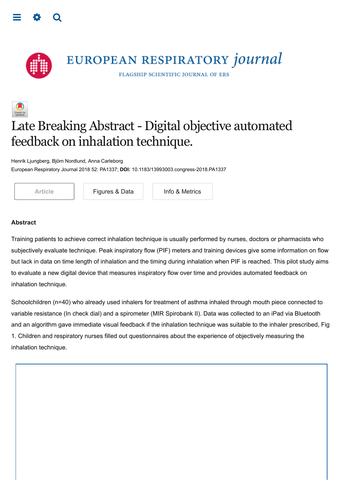<span id="page-0-0"></span>



EUROPEAN RESPIRATORY journal

FLAGSHIP SCIENTIFIC JOURNAL OF ERS

# Late Breaking Abstract- Digital objective automated feedback on inhalation technique.

Henrik Ljungberg, Björn Nordlund, Anna Carleborg European Respiratory Journal 2018 52: PA1337; **DOI:** 10.1183/13993003.congress-2018.PA1337



[Article](https://erj.ersjournals.com/content/52/suppl_62/PA1337) **[Figures & Data](https://erj.ersjournals.com/content/52/suppl_62/PA1337.figures-only)** [Info & Metrics](https://erj.ersjournals.com/content/52/suppl_62/PA1337.article-info)

#### **Abstract**

Training patients to achieve correct inhalation technique is usually performed by nurses, doctors or pharmacists who subjectively evaluate technique. Peak inspiratory flow (PIF) meters and training devices give some information on flow but lack in data on time length of inhalation and the timing during inhalation when PIF is reached. This pilot study aims to evaluate a new digital device that measures inspiratory flow over time and provides automated feedback on inhalation technique.

Schoolchildren (n=40) who already used inhalers for treatment of asthma inhaled through mouth piece connected to variable resistance (In check dial) and a spirometer (MIR Spirobank II). Data was collected to an iPad via Bluetooth and an algorithm gave immediate visual feedback if the inhalation technique was suitable to the inhaler prescribed, Fig 1. Children and respiratory nurses filled out questionnaires about the experience of objectively measuring the inhalation technique.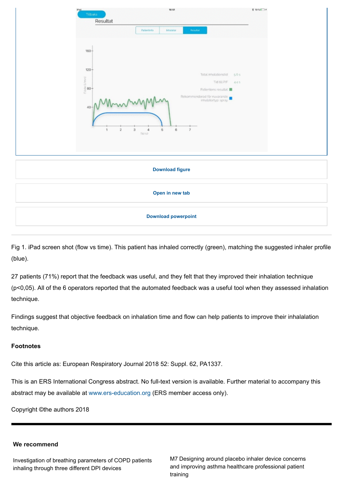

Fig 1. iPad screen shot (flow vs time). This patient has inhaled correctly (green), matching the suggested inhaler profile (blue).

27 patients (71%) report that the feedback was useful, and they felt that they improved their inhalation technique (p<0,05). All of the 6 operators reported that the automated feedback was a useful tool when they assessed inhalation technique.

Findings suggest that objective feedback on inhalation time and flow can help patients to improve their inhalalation technique.

### **Footnotes**

Cite this article as: European Respiratory Journal 2018 52: Suppl. 62, PA1337.

This is an ERS International Congress abstract. No full-text version is available. Further material to accompany this abstract may be available at [www.ers-education.org](http://www.ers-education.org/) (ERS member access only).

Copyright ©the authors 2018

### **We recommend**

[Investigation of breathing parameters of COPD patients](http://erj.ersjournals.com/content/52/suppl_62/PA772?utm_source=TrendMD&utm_medium=cpc&utm_campaign=_European_Respiratory_Journal_TrendMD_0) inhaling through three different DPI devices

[M7 Designing around placebo inhaler device concerns](http://thorax.bmj.com/content/71/Suppl_3/A261.1.abstract?sid=2b061073-0d4a-4ce7-876a-45bd41f7eebd&utm_campaign=thorax&utm_content=consumer&utm_medium=cpc&utm_source=trendmd&utm_term=1-A) and improving asthma healthcare professional patient training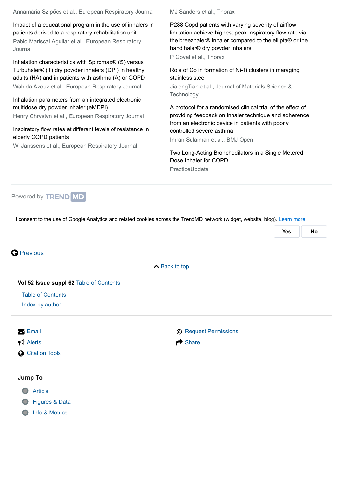Annamária Szipőcs et al., European Respiratory Journal

[Impact of a educational program in the use of inhalers in](http://erj.ersjournals.com/content/52/suppl_62/PA4023?utm_source=TrendMD&utm_medium=cpc&utm_campaign=_European_Respiratory_Journal_TrendMD_0) patients derived to a respiratory rehabilitation unit Pablo Mariscal Aguilar et al., European Respiratory Journal

Inhalation characteristics with Spiromax® (S) versus Turbuhaler® (T) dry powder inhalers (DPI) in healthy [adults \(HA\) and in patients with asthma \(A\) or COPD](http://erj.ersjournals.com/content/42/Suppl_57/P711.short?utm_source=TrendMD&utm_medium=cpc&utm_campaign=_European_Respiratory_Journal_TrendMD_0) Wahida Azouz et al., European Respiratory Journal

[Inhalation parameters from an integrated electronic](http://erj.ersjournals.com/content/52/suppl_62/PA681?utm_source=TrendMD&utm_medium=cpc&utm_campaign=_European_Respiratory_Journal_TrendMD_0) multidose dry powder inhaler (eMDPI)

Henry Chrystyn et al., European Respiratory Journal

#### [Inspiratory flow rates at different levels of resistance in](http://erj.ersjournals.com/content/31/1/78?utm_source=TrendMD&utm_medium=cpc&utm_campaign=_European_Respiratory_Journal_TrendMD_0) elderly COPD patients

W. Janssens et al., European Respiratory Journal

MJ Sanders et al., Thorax

P288 Copd patients with varying severity of airflow limitation achieve highest peak inspiratory flow rate via [the breezhaler® inhaler compared to the ellipta® or the](http://thorax.bmj.com/content/71/Suppl_3/A246.abstract?maxtoshow=&hits=10&RESULTFORMAT=&andorexacttitle=and&andorexacttitleabs=and&fulltext=COPD&andorexactfulltext=and&searchid=1&usestrictdates=yes&resourcetype=HWCIT&%3Fsa_campaign=Email%2Fkeyauth%2F--%2F&utm_campaign=thorax&utm_content=consumer&utm_medium=cpc&utm_source=trendmd&utm_term=1-A) handihaler® dry powder inhalers

P Goyal et al., Thorax

[Role of Co in formation of Ni-Ti clusters in maraging](https://www.sciencedirect.com/science/article/pii/S1005030218301142?utm_source=TrendMD&utm_medium=cpc&utm_campaign=Journal_of_Materials_Science_%2526_Technology_TrendMD_1) stainless steel

JialongTian et al., Journal of Materials Science & **Technology** 

A protocol for a randomised clinical trial of the effect of [providing feedback on inhaler technique and adherence](https://bmjopen.bmj.com/content/6/1/e009350?int_source=trendmd&int_medium=trendmd&int_campaign=trendmd&utm_content=consumer&utm_medium=cpc&utm_source=trendmd&utm_term=1-A&utm_campaign=bmjo) from an electronic device in patients with poorly controlled severe asthma

Imran Sulaiman et al., BMJ Open

[Two Long-Acting Bronchodilators in a Single Metered](http://www.practiceupdate.com/C/56839/56?elsca1=emc_enews_topic-alert&trendmd-shared=1) Dose Inhaler for COPD PracticeUpdate



I consent to the use of Google Analytics and related cookies across the TrendMD network (widget, website, blog). [Learn more](https://www.trendmd.com/google-analytics)

|                                         |                              | Yes | <b>No</b> |
|-----------------------------------------|------------------------------|-----|-----------|
|                                         |                              |     |           |
| <b>O</b> Previous                       |                              |     |           |
|                                         | <b>▶ Back to top</b>         |     |           |
| Vol 52 Issue suppl 62 Table of Contents |                              |     |           |
| <b>Table of Contents</b>                |                              |     |           |
| Index by author                         |                              |     |           |
| $\triangleright$ Email                  | <b>C</b> Request Permissions |     |           |
| $\blacktriangleright$ Alerts            | $\rightarrow$ Share          |     |           |
| <b>Citation Tools</b>                   |                              |     |           |
| <b>Jump To</b>                          |                              |     |           |
| <b>Article</b>                          |                              |     |           |
| Figures & Data                          |                              |     |           |
| Info & Metrics                          |                              |     |           |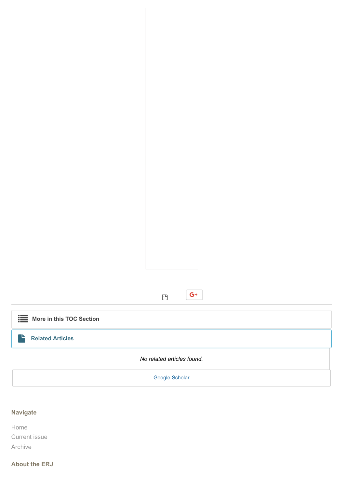

# **Navigate**

Home Current issue Archive

# **About the ERJ**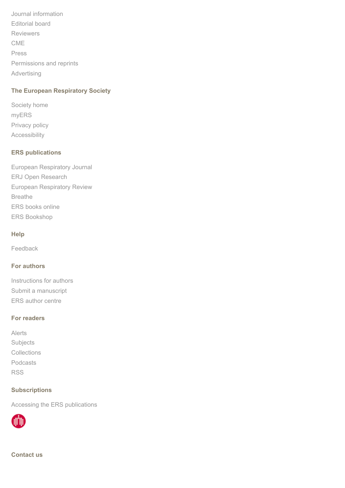[Journal information](https://erj.ersjournals.com/journal/about) [Editorial board](https://erj.ersjournals.com/journal/editorial-board) [Reviewers](https://erj.ersjournals.com/journal/reviewers) [CME](https://erj.ersjournals.com/journal/cme) [Press](http://www.ersjournals.com/press) [Permissions and reprints](http://www.ersjournals.com/reuse) [Advertising](http://www.ersjournals.com/advertising)

# **The European Respiratory Society**

[Society home](http://www.ersnet.org/) [myERS](https://my.ersnet.org/Login.html) [Privacy policy](http://www.ersjournals.com/site/privacy) [Accessibility](http://www.ersjournals.com/site/accessibility)

# **ERS publications**

[European Respiratory Journal](http://erj.ersjournals.com/) [ERJ Open Research](http://openres.ersjournals.com/) [European Respiratory Review](http://err.ersjournals.com/) [Breathe](http://breathe.ersjournals.com/) [ERS books online](http://www.erspublications.com/) [ERS Bookshop](http://www.ersbookshop.com/)

### **Help**

[Feedback](https://erj.ersjournals.com/feedback)

# **For authors**

[Instructions for authors](https://erj.ersjournals.com/authors/instructions) [Submit a manuscript](http://mc.manuscriptcentral.com/erj) [ERS author centre](http://www.ersjournals.com/authors)

## **For readers**

[Alerts](https://erj.ersjournals.com/alerts) **[Subjects](https://erj.ersjournals.com/collection)** [Collections](https://erj.ersjournals.com/content/collections) [Podcasts](https://erj.ersjournals.com/journal/podcast) [RSS](https://erj.ersjournals.com/rss)

# **Subscriptions**

[Accessing the ERS publications](https://erj.ersjournals.com/subscriptions)